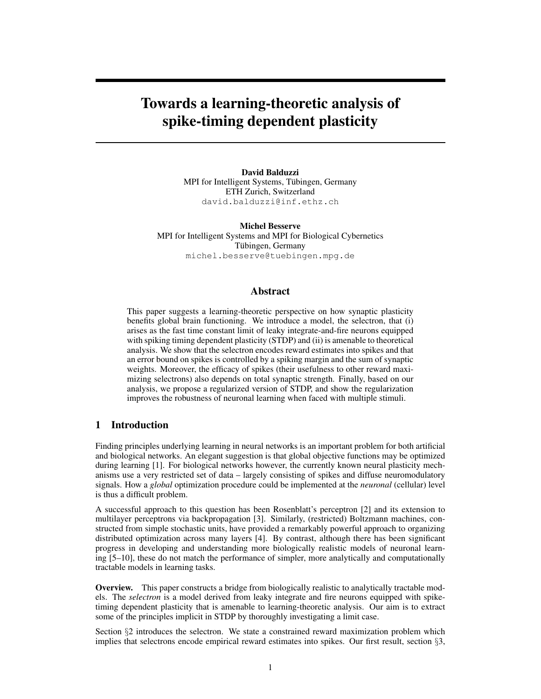# <span id="page-0-0"></span>Towards a learning-theoretic analysis of spike-timing dependent plasticity

David Balduzzi MPI for Intelligent Systems, Tübingen, Germany ETH Zurich, Switzerland david.balduzzi@inf.ethz.ch

<span id="page-0-3"></span><span id="page-0-2"></span>Michel Besserve MPI for Intelligent Systems and MPI for Biological Cybernetics Tübingen, Germany michel.besserve@tuebingen.mpg.de

# Abstract

<span id="page-0-1"></span>This paper suggests a learning-theoretic perspective on how synaptic plasticity benefits global brain functioning. We introduce a model, the selectron, that (i) arises as the fast time constant limit of leaky integrate-and-fire neurons equipped with spiking timing dependent plasticity (STDP) and (ii) is amenable to theoretical analysis. We show that the selectron encodes reward estimates into spikes and that an error bound on spikes is controlled by a spiking margin and the sum of synaptic weights. Moreover, the efficacy of spikes (their usefulness to other reward maximizing selectrons) also depends on total synaptic strength. Finally, based on our analysis, we propose a regularized version of STDP, and show the regularization improves the robustness of neuronal learning when faced with multiple stimuli.

# 1 Introduction

Finding principles underlying learning in neural networks is an important problem for both artificial and biological networks. An elegant suggestion is that global objective functions may be optimized during learning [\[1\]](#page-7-0). For biological networks however, the currently known neural plasticity mechanisms use a very restricted set of data – largely consisting of spikes and diffuse neuromodulatory signals. How a *global* optimization procedure could be implemented at the *neuronal* (cellular) level is thus a difficult problem.

A successful approach to this question has been Rosenblatt's perceptron [\[2\]](#page-7-1) and its extension to multilayer perceptrons via backpropagation [\[3\]](#page-7-2). Similarly, (restricted) Boltzmann machines, constructed from simple stochastic units, have provided a remarkably powerful approach to organizing distributed optimization across many layers [\[4\]](#page-7-3). By contrast, although there has been significant progress in developing and understanding more biologically realistic models of neuronal learning [\[5–](#page-8-0)[10\]](#page-8-1), these do not match the performance of simpler, more analytically and computationally tractable models in learning tasks.

Overview. This paper constructs a bridge from biologically realistic to analytically tractable models. The *selectron* is a model derived from leaky integrate and fire neurons equipped with spiketiming dependent plasticity that is amenable to learning-theoretic analysis. Our aim is to extract some of the principles implicit in STDP by thoroughly investigating a limit case.

Section *§*[2](#page-1-0) introduces the selectron. We state a constrained reward maximization problem which implies that selectrons encode empirical reward estimates into spikes. Our first result, section *§*[3,](#page-3-0)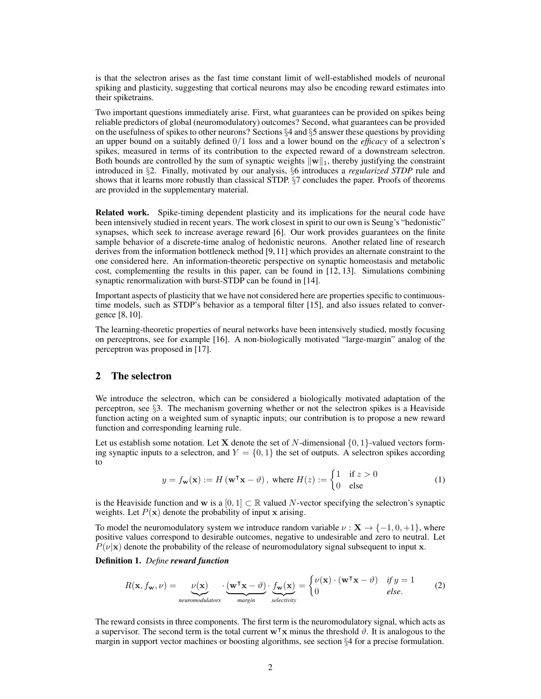is that the selectron arises as the fast time constant limit of well-established models of neuronal spiking and plasticity, suggesting that cortical neurons may also be encoding reward estimates into their spiketrains.

Two important questions immediately arise. First, what guarantees can be provided on spikes being reliable predictors of global (neuromodulatory) outcomes? Second, what guarantees can be provided on the usefulness of spikes to other neurons? Sections *§*[4](#page-3-1) and *§*[5](#page-4-0) answer these questions by providing an upper bound on a suitably defined 0*/*1 loss and a lower bound on the *efficacy* of a selectron's spikes, measured in terms of its contribution to the expected reward of a downstream selectron. Both bounds are controlled by the sum of synaptic weights  $\|\mathbf{w}\|_1$ , thereby justifying the constraint introduced in *§*[2.](#page-1-0) Finally, motivated by our analysis, *§*[6](#page-5-0) introduces a *regularized STDP* rule and shows that it learns more robustly than classical STDP. *§*[7](#page-7-4) concludes the paper. Proofs of theorems are provided in the supplementary material.

Related work. Spike-timing dependent plasticity and its implications for the neural code have been intensively studied in recent years. The work closest in spirit to our own is Seung's "hedonistic" synapses, which seek to increase average reward [\[6\]](#page-8-2). Our work provides guarantees on the finite sample behavior of a discrete-time analog of hedonistic neurons. Another related line of research derives from the information bottleneck method [\[9,](#page-8-3) [11\]](#page-8-4) which provides an alternate constraint to the one considered here. An information-theoretic perspective on synaptic homeostasis and metabolic cost, complementing the results in this paper, can be found in [\[12,](#page-8-5) [13\]](#page-8-6). Simulations combining synaptic renormalization with burst-STDP can be found in [\[14\]](#page-8-7).

Important aspects of plasticity that we have not considered here are properties specific to continuoustime models, such as STDP's behavior as a temporal filter [\[15\]](#page-8-8), and also issues related to convergence [\[8,](#page-8-9) [10\]](#page-8-1).

The learning-theoretic properties of neural networks have been intensively studied, mostly focusing on perceptrons, see for example [\[16\]](#page-8-10). A non-biologically motivated "large-margin" analog of the perceptron was proposed in [\[17\]](#page-8-11).

# <span id="page-1-0"></span>2 The selectron

We introduce the selectron, which can be considered a biologically motivated adaptation of the perceptron, see *§*[3.](#page-3-0) The mechanism governing whether or not the selectron spikes is a Heaviside function acting on a weighted sum of synaptic inputs; our contribution is to propose a new reward function and corresponding learning rule.

Let us establish some notation. Let X denote the set of *N*-dimensional *{*0*,* 1*}*-valued vectors forming synaptic inputs to a selectron, and  $Y = \{0, 1\}$  the set of outputs. A selectron spikes according to

$$
y = f_{\mathbf{w}}(\mathbf{x}) := H(\mathbf{w}^{\mathsf{T}} \mathbf{x} - \vartheta), \text{ where } H(z) := \begin{cases} 1 & \text{if } z > 0 \\ 0 & \text{else} \end{cases}
$$
 (1)

is the Heaviside function and w is a  $[0, 1] \subset \mathbb{R}$  valued *N*-vector specifying the selectron's synaptic weights. Let  $P(x)$  denote the probability of input x arising.

To model the neuromodulatory system we introduce random variable  $\nu : \mathbf{X} \to \{-1, 0, +1\}$ , where positive values correspond to desirable outcomes, negative to undesirable and zero to neutral. Let  $P(\nu|\mathbf{x})$  denote the probability of the release of neuromodulatory signal subsequent to input x.

### Definition 1. *Define reward function*

<span id="page-1-1"></span>
$$
R(\mathbf{x}, f_{\mathbf{w}}, \nu) = \underbrace{\nu(\mathbf{x})}_{\text{neuron} \text{dualators}} \cdot \underbrace{(\mathbf{w}^{\mathsf{T}} \mathbf{x} - \vartheta)}_{\text{margin}} \cdot \underbrace{f_{\mathbf{w}}(\mathbf{x})}_{\text{selectivity}} = \begin{cases} \nu(\mathbf{x}) \cdot (\mathbf{w}^{\mathsf{T}} \mathbf{x} - \vartheta) & \text{if } y = 1 \\ 0 & \text{else.} \end{cases} \tag{2}
$$

The reward consists in three components. The first term is the neuromodulatory signal, which acts as a supervisor. The second term is the total current  $w^{\mathsf{T}}x$  minus the threshold  $\vartheta$ . It is analogous to the margin in support vector machines or boosting algorithms, see section *§*[4](#page-3-1) for a precise formulation.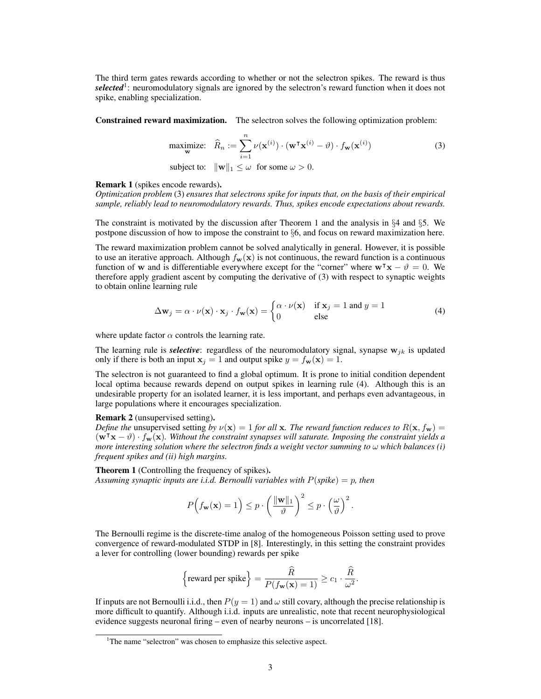The third term gates rewards according to whether or not the selectron spikes. The reward is thus *selected*[1:](#page-2-0) neuromodulatory signals are ignored by the selectron's reward function when it does not spike, enabling specialization.

Constrained reward maximization. The selectron solves the following optimization problem:

<span id="page-2-1"></span>
$$
\text{maximize:} \quad \widehat{R}_n := \sum_{i=1}^n \nu(\mathbf{x}^{(i)}) \cdot (\mathbf{w}^\mathsf{T} \mathbf{x}^{(i)} - \vartheta) \cdot f_\mathbf{w}(\mathbf{x}^{(i)}) \tag{3}
$$

subject to:  $\|\mathbf{w}\|_1 \leq \omega$  for some  $\omega > 0$ .

Remark 1 (spikes encode rewards).

*Optimization problem* [\(3\)](#page-2-1) *ensures that selectrons spike for inputs that, on the basis of their empirical sample, reliably lead to neuromodulatory rewards. Thus, spikes encode expectations about rewards.*

The constraint is motivated by the discussion after Theorem [1](#page-2-2) and the analysis in *§*[4](#page-3-1) and *§*[5.](#page-4-0) We postpone discussion of how to impose the constraint to *§*[6,](#page-5-0) and focus on reward maximization here.

The reward maximization problem cannot be solved analytically in general. However, it is possible to use an iterative approach. Although  $f_w(x)$  is not continuous, the reward function is a continuous function of w and is differentiable everywhere except for the "corner" where  $w^{\dagger}x - \vartheta = 0$ . We therefore apply gradient ascent by computing the derivative of [\(3\)](#page-2-1) with respect to synaptic weights to obtain online learning rule

<span id="page-2-3"></span>
$$
\Delta \mathbf{w}_j = \alpha \cdot \nu(\mathbf{x}) \cdot \mathbf{x}_j \cdot f_{\mathbf{w}}(\mathbf{x}) = \begin{cases} \alpha \cdot \nu(\mathbf{x}) & \text{if } \mathbf{x}_j = 1 \text{ and } y = 1\\ 0 & \text{else} \end{cases}
$$
(4)

where update factor  $\alpha$  controls the learning rate.

The learning rule is *selective*: regardless of the neuromodulatory signal, synapse  $w_{jk}$  is updated only if there is both an input  $x_j = 1$  and output spike  $y = f_w(x) = 1$ .

The selectron is not guaranteed to find a global optimum. It is prone to initial condition dependent local optima because rewards depend on output spikes in learning rule [\(4\)](#page-2-3). Although this is an undesirable property for an isolated learner, it is less important, and perhaps even advantageous, in large populations where it encourages specialization.

#### Remark 2 (unsupervised setting).

*Define the* unsupervised setting *by*  $\nu(\mathbf{x})=1$  *for all* x*. The reward function reduces to*  $R(\mathbf{x}, f_{\mathbf{w}})$  =  $(w^{\dagger}x - \vartheta) \cdot f_{w}(x)$ *. Without the constraint synapses will saturate. Imposing the constraint yields a more interesting solution where the selectron finds a weight vector summing to*  $\omega$  which balances (i) *frequent spikes and (ii) high margins.*

<span id="page-2-2"></span>Theorem 1 (Controlling the frequency of spikes). Assuming synaptic inputs are *i.i.d.* Bernoulli variables with  $P(spike) = p$ , then

$$
P\left(f_{\mathbf{w}}(\mathbf{x})=1\right) \leq p \cdot \left(\frac{\|\mathbf{w}\|_1}{\vartheta}\right)^2 \leq p \cdot \left(\frac{\omega}{\vartheta}\right)^2.
$$

The Bernoulli regime is the discrete-time analog of the homogeneous Poisson setting used to prove convergence of reward-modulated STDP in [\[8\]](#page-8-9). Interestingly, in this setting the constraint provides a lever for controlling (lower bounding) rewards per spike

$$
\left\{\text{reward per spike}\right\} = \frac{\widehat{R}}{P(f_{\mathbf{w}}(\mathbf{x}) = 1)} \ge c_1 \cdot \frac{\widehat{R}}{\omega^2}.
$$

If inputs are not Bernoulli i.i.d., then  $P(y = 1)$  and  $\omega$  still covary, although the precise relationship is more difficult to quantify. Although i.i.d. inputs are unrealistic, note that recent neurophysiological evidence suggests neuronal firing – even of nearby neurons – is uncorrelated [\[18\]](#page-8-12).

<span id="page-2-0"></span><sup>&</sup>lt;sup>1</sup>The name "selectron" was chosen to emphasize this selective aspect.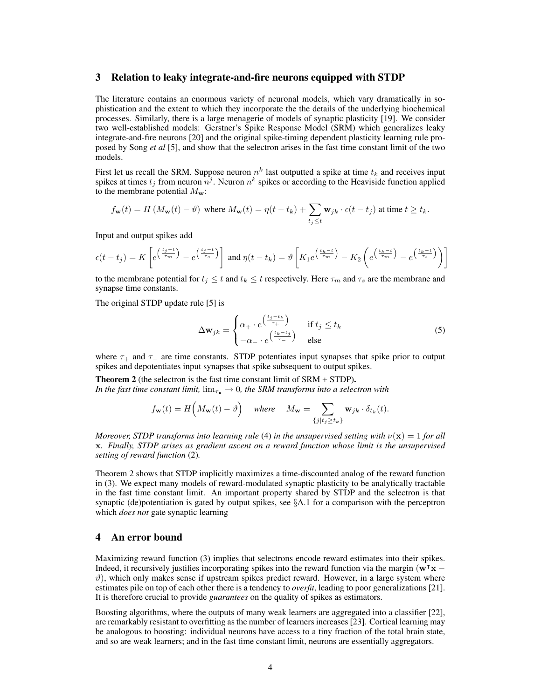# <span id="page-3-0"></span>3 Relation to leaky integrate-and-fire neurons equipped with STDP

The literature contains an enormous variety of neuronal models, which vary dramatically in sophistication and the extent to which they incorporate the the details of the underlying biochemical processes. Similarly, there is a large menagerie of models of synaptic plasticity [\[19\]](#page-8-13). We consider two well-established models: Gerstner's Spike Response Model (SRM) which generalizes leaky integrate-and-fire neurons [\[20\]](#page-8-14) and the original spike-timing dependent plasticity learning rule proposed by Song *et al* [\[5\]](#page-8-0), and show that the selectron arises in the fast time constant limit of the two models.

First let us recall the SRM. Suppose neuron *n<sup>k</sup>* last outputted a spike at time *t<sup>k</sup>* and receives input spikes at times  $t_j$  from neuron  $n^j$ . Neuron  $n^k$  spikes or according to the Heaviside function applied to the membrane potential  $M_{\mathbf{w}}$ :

$$
f_{\mathbf{w}}(t) = H\left(M_{\mathbf{w}}(t) - \vartheta\right) \text{ where } M_{\mathbf{w}}(t) = \eta(t - t_k) + \sum_{t_j \le t} \mathbf{w}_{jk} \cdot \epsilon(t - t_j) \text{ at time } t \ge t_k.
$$

Input and output spikes add

$$
\epsilon(t-t_j) = K \left[ e^{\left(\frac{t_j-t}{\tau_m}\right)} - e^{\left(\frac{t_j-t}{\tau_s}\right)} \right] \text{ and } \eta(t-t_k) = \vartheta \left[ K_1 e^{\left(\frac{t_k-t}{\tau_m}\right)} - K_2 \left( e^{\left(\frac{t_k-t}{\tau_m}\right)} - e^{\left(\frac{t_k-t}{\tau_s}\right)} \right) \right]
$$

to the membrane potential for  $t_j \leq t$  and  $t_k \leq t$  respectively. Here  $\tau_m$  and  $\tau_s$  are the membrane and synapse time constants.

The original STDP update rule [\[5\]](#page-8-0) is

<span id="page-3-3"></span>
$$
\Delta \mathbf{w}_{jk} = \begin{cases} \alpha_+ \cdot e^{\left(\frac{t_j - t_k}{\tau_+}\right)} & \text{if } t_j \le t_k\\ -\alpha_- \cdot e^{\left(\frac{t_k - t_j}{\tau_-}\right)} & \text{else} \end{cases}
$$
(5)

where  $\tau_{+}$  and  $\tau_{-}$  are time constants. STDP potentiates input synapses that spike prior to output spikes and depotentiates input synapses that spike subsequent to output spikes.

<span id="page-3-2"></span>Theorem 2 (the selectron is the fast time constant limit of SRM + STDP). *In the fast time constant limit,*  $\lim_{\tau_{\bullet}} \to 0$ *, the SRM transforms into a selectron with* 

$$
f_{\mathbf{w}}(t) = H\Big(M_{\mathbf{w}}(t) - \vartheta\Big) \quad \text{ where } \quad M_{\mathbf{w}} = \sum_{\{j \mid t_j \ge t_k\}} \mathbf{w}_{jk} \cdot \delta_{t_k}(t).
$$

*Moreover, STDP transforms into learning rule* [\(4\)](#page-2-3) *in the unsupervised setting with*  $\nu(\mathbf{x})=1$  *for all* x*. Finally, STDP arises as gradient ascent on a reward function whose limit is the unsupervised setting of reward function* [\(2\)](#page-1-1)*.*

Theorem [2](#page-3-2) shows that STDP implicitly maximizes a time-discounted analog of the reward function in [\(3\)](#page-2-1). We expect many models of reward-modulated synaptic plasticity to be analytically tractable in the fast time constant limit. An important property shared by STDP and the selectron is that synaptic (de)potentiation is gated by output spikes, see *§*[A.1](#page-0-0) for a comparison with the perceptron which *does not* gate synaptic learning

# <span id="page-3-1"></span>4 An error bound

Maximizing reward function [\(3\)](#page-2-1) implies that selectrons encode reward estimates into their spikes. Indeed, it recursively justifies incorporating spikes into the reward function via the margin ( $w^{\dagger}x$  –  $\vartheta$ ), which only makes sense if upstream spikes predict reward. However, in a large system where estimates pile on top of each other there is a tendency to *overfit*, leading to poor generalizations [\[21\]](#page-8-15). It is therefore crucial to provide *guarantees* on the quality of spikes as estimators.

Boosting algorithms, where the outputs of many weak learners are aggregated into a classifier [\[22\]](#page-8-16), are remarkably resistant to overfitting as the number of learners increases [\[23\]](#page-8-17). Cortical learning may be analogous to boosting: individual neurons have access to a tiny fraction of the total brain state, and so are weak learners; and in the fast time constant limit, neurons are essentially aggregators.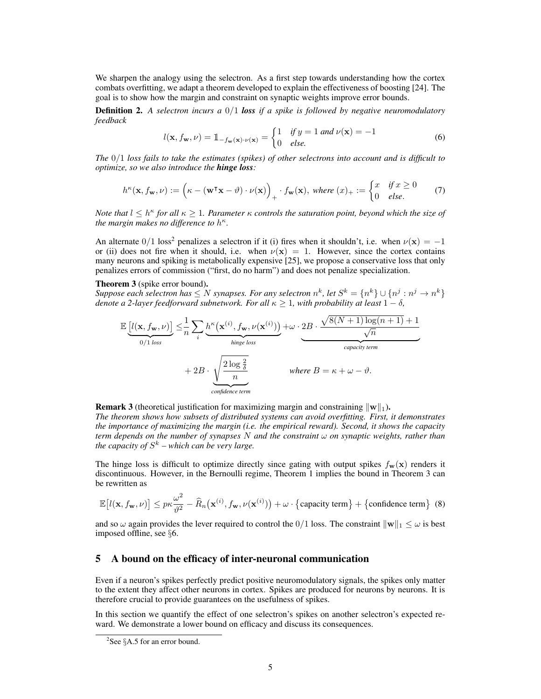We sharpen the analogy using the selectron. As a first step towards understanding how the cortex combats overfitting, we adapt a theorem developed to explain the effectiveness of boosting [\[24\]](#page-8-18). The goal is to show how the margin and constraint on synaptic weights improve error bounds.

Definition 2. *A selectron incurs a* 0*/*1 *loss if a spike is followed by negative neuromodulatory feedback*

$$
l(\mathbf{x}, f_{\mathbf{w}}, \nu) = \mathbb{1}_{-f_{\mathbf{w}}(\mathbf{x}) \cdot \nu(\mathbf{x})} = \begin{cases} 1 & \text{if } y = 1 \text{ and } \nu(\mathbf{x}) = -1 \\ 0 & \text{else.} \end{cases} \tag{6}
$$

*The* 0*/*1 *loss fails to take the estimates (spikes) of other selectrons into account and is difficult to optimize, so we also introduce the hinge loss:*

$$
h^{\kappa}(\mathbf{x}, f_{\mathbf{w}}, \nu) := \left(\kappa - (\mathbf{w}^{\mathsf{T}} \mathbf{x} - \vartheta) \cdot \nu(\mathbf{x})\right)_{+} \cdot f_{\mathbf{w}}(\mathbf{x}), \text{ where } (\boldsymbol{x})_{+} := \begin{cases} x & \text{if } x \ge 0 \\ 0 & \text{else.} \end{cases} \tag{7}
$$

*Note that*  $l \leq h^{\kappa}$  *for all*  $\kappa \geq 1$ *. Parameter*  $\kappa$  *controls the saturation point, beyond which the size of the margin makes no difference to*  $h^{\kappa}$ *.* 

An alternate  $0/1$  loss<sup>[2](#page-4-1)</sup> penalizes a selectron if it (i) fires when it shouldn't, i.e. when  $\nu(\mathbf{x}) = -1$ or (ii) does not fire when it should, i.e. when  $\nu(\mathbf{x})=1$ . However, since the cortex contains many neurons and spiking is metabolically expensive [\[25\]](#page-8-19), we propose a conservative loss that only penalizes errors of commission ("first, do no harm") and does not penalize specialization.

#### <span id="page-4-2"></span>Theorem 3 (spike error bound).

Suppose each selectron has  $\leq N$  synapses. For any selectron  $n^k$ , let  $S^k = \{n^k\} \cup \{n^j : n^j \to n^k\}$ *denote a 2-layer feedforward subnetwork. For all*  $\kappa \geq 1$ , with probability at least  $1 - \delta$ ,

$$
\mathbb{E}\underbrace{\left[l(\mathbf{x}, f_{\mathbf{w}}, \nu)\right]}_{0/1 \text{ loss}} \leq \frac{1}{n} \sum_{i} \underbrace{h^{\kappa}\big(\mathbf{x}^{(i)}, f_{\mathbf{w}}, \nu(\mathbf{x}^{(i)})\big)}_{hinge \text{ loss}} + \omega \cdot \underbrace{2B \cdot \frac{\sqrt{8(N+1)\log(n+1)} + 1}{\sqrt{n}}}{\omega q \alpha city \text{ term}}
$$
  
+ 2B \cdot \underbrace{\sqrt{\frac{2\log\frac{2}{\delta}}{n}}}\_{confidence \text{ term}} \text{ where } B = \kappa + \omega - \vartheta.

**Remark 3** (theoretical justification for maximizing margin and constraining  $\|\mathbf{w}\|_1$ ). *The theorem shows how subsets of distributed systems can avoid overfitting. First, it demonstrates the importance of maximizing the margin (i.e. the empirical reward). Second, it shows the capacity term depends on the number of synapses*  $N$  *and the constraint*  $\omega$  *on synaptic weights, rather than the capacity of*  $S^k$  – which can be very large.

The hinge loss is difficult to optimize directly since gating with output spikes  $f_w(x)$  renders it discontinuous. However, in the Bernoulli regime, Theorem [1](#page-2-2) implies the bound in Theorem [3](#page-4-2) can be rewritten as

$$
\mathbb{E}\left[l(\mathbf{x}, f_{\mathbf{w}}, \nu)\right] \le p\kappa \frac{\omega^2}{\vartheta^2} - \widehat{R}_n\big(\mathbf{x}^{(i)}, f_{\mathbf{w}}, \nu(\mathbf{x}^{(i)})\big) + \omega \cdot \left\{\text{capacity term}\right\} + \left\{\text{confidence term}\right\} \tag{8}
$$

and so  $\omega$  again provides the lever required to control the 0/1 loss. The constraint  $\|\mathbf{w}\|_1 \leq \omega$  is best imposed offline, see *§*[6.](#page-5-0)

# <span id="page-4-0"></span>5 A bound on the efficacy of inter-neuronal communication

Even if a neuron's spikes perfectly predict positive neuromodulatory signals, the spikes only matter to the extent they affect other neurons in cortex. Spikes are produced for neurons by neurons. It is therefore crucial to provide guarantees on the usefulness of spikes.

In this section we quantify the effect of one selectron's spikes on another selectron's expected reward. We demonstrate a lower bound on efficacy and discuss its consequences.

<span id="page-4-1"></span><sup>2</sup> See *§*[A.5](#page-0-1) for an error bound.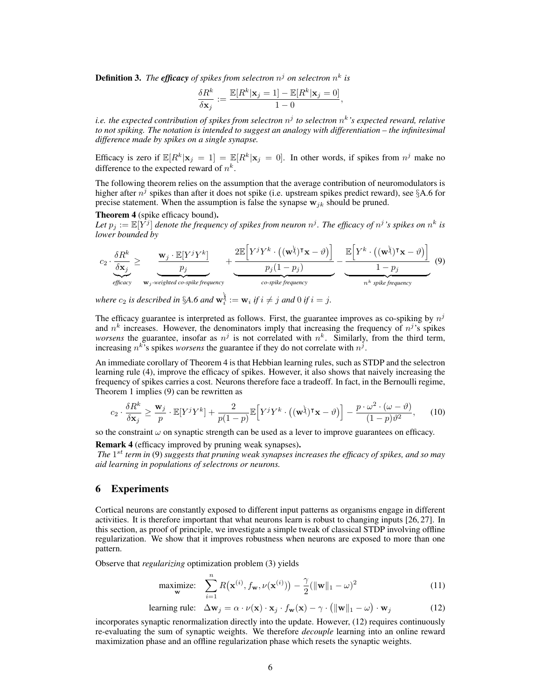**Definition 3.** *The efficacy of spikes from selectron*  $n^j$  *on selectron*  $n^k$  *is* 

$$
\frac{\delta R^k}{\delta \mathbf{x}_j} := \frac{\mathbb{E}[R^k|\mathbf{x}_j=1] - \mathbb{E}[R^k|\mathbf{x}_j=0]}{1-0},
$$

*i.e. the expected contribution of spikes from selectron n<sup>j</sup> to selectron n<sup>k</sup>'s expected reward, relative to not spiking. The notation is intended to suggest an analogy with differentiation – the infinitesimal difference made by spikes on a single synapse.*

Efficacy is zero if  $\mathbb{E}[R^k|\mathbf{x}_j = 1] = \mathbb{E}[R^k|\mathbf{x}_j = 0]$ . In other words, if spikes from  $n^j$  make no difference to the expected reward of *nk*.

The following theorem relies on the assumption that the average contribution of neuromodulators is higher after *<sup>n</sup><sup>j</sup>* spikes than after it does not spike (i.e. upstream spikes predict reward), see *§*[A.6](#page-0-2) for precise statement. When the assumption is false the synapse  $w_{ik}$  should be pruned.

## <span id="page-5-1"></span>Theorem 4 (spike efficacy bound).

*Let*  $p_j := \mathbb{E}[Y^j]$  *denote the frequency of spikes from neuron*  $n^j$ . The efficacy of  $n^j$  *s spikes on*  $n^k$  *is lower bounded by*

<span id="page-5-2"></span>
$$
c_2 \cdot \underbrace{\frac{\delta R^k}{\delta \mathbf{x}_j}}_{\text{efficacy}} \geq \underbrace{\frac{\mathbf{w}_j \cdot \mathbb{E}[Y^j Y^k]}{p_j}}_{\mathbf{w}_j \text{-weighted co-spike frequency}} + \underbrace{\frac{2 \mathbb{E}\Big[Y^j Y^k \cdot ((\mathbf{w}^{\frac{1}{4}})^T \mathbf{x} - \vartheta)\Big]}{p_j (1 - p_j)}}_{\text{co-spike frequency}} - \underbrace{\frac{\mathbb{E}\Big[Y^k \cdot ((\mathbf{w}^{\frac{1}{4}})^T \mathbf{x} - \vartheta)\Big]}{1 - p_j}}_{\text{nk spike frequency}} (9)
$$

*where*  $c_2$  *is described in* §*[A.6](#page-0-2) and*  $\mathbf{w}_i^{\dagger} := \mathbf{w}_i$  *if*  $i \neq j$  *and* 0 *if*  $i = j$ .

The efficacy guarantee is interpreted as follows. First, the guarantee improves as co-spiking by  $n<sup>j</sup>$ and  $n^k$  increases. However, the denominators imply that increasing the frequency of  $n^j$ 's spikes *worsens* the guarantee, insofar as  $n^j$  is not correlated with  $n^k$ . Similarly, from the third term, increasing  $n^{k}$ <sup>s</sup> spikes *worsens* the guarantee if they do not correlate with  $n^{j}$ .

An immediate corollary of Theorem [4](#page-5-1) is that Hebbian learning rules, such as STDP and the selectron learning rule [\(4\)](#page-2-3), improve the efficacy of spikes. However, it also shows that naively increasing the frequency of spikes carries a cost. Neurons therefore face a tradeoff. In fact, in the Bernoulli regime, Theorem [1](#page-2-2) implies [\(9\)](#page-5-2) can be rewritten as

$$
c_2 \cdot \frac{\delta R^k}{\delta \mathbf{x}_j} \ge \frac{\mathbf{w}_j}{p} \cdot \mathbb{E}[Y^j Y^k] + \frac{2}{p(1-p)} \mathbb{E}\Big[Y^j Y^k \cdot \left((\mathbf{w}^\dagger)^{\mathsf{T}} \mathbf{x} - \vartheta\right)\Big] - \frac{p \cdot \omega^2 \cdot (\omega - \vartheta)}{(1-p)\vartheta^2},\tag{10}
$$

so the constraint  $\omega$  on synaptic strength can be used as a lever to improve guarantees on efficacy.

<span id="page-5-4"></span>Remark 4 (efficacy improved by pruning weak synapses).

*The* 1*st term in* [\(9\)](#page-5-2) *suggests that pruning weak synapses increases the efficacy of spikes, and so may aid learning in populations of selectrons or neurons.*

## <span id="page-5-0"></span>6 Experiments

Cortical neurons are constantly exposed to different input patterns as organisms engage in different activities. It is therefore important that what neurons learn is robust to changing inputs [\[26,](#page-8-20) [27\]](#page-8-21). In this section, as proof of principle, we investigate a simple tweak of classical STDP involving offline regularization. We show that it improves robustness when neurons are exposed to more than one pattern.

Observe that *regularizing* optimization problem [\(3\)](#page-2-1) yields

<span id="page-5-3"></span>
$$
\underset{\mathbf{w}}{\text{maximize:}} \quad \sum_{i=1}^{n} R(\mathbf{x}^{(i)}, f_{\mathbf{w}}, \nu(\mathbf{x}^{(i)})) - \frac{\gamma}{2} (\|\mathbf{w}\|_{1} - \omega)^{2}
$$
(11)

learning rule: 
$$
\Delta \mathbf{w}_j = \alpha \cdot \nu(\mathbf{x}) \cdot \mathbf{x}_j \cdot f_{\mathbf{w}}(\mathbf{x}) - \gamma \cdot (\|\mathbf{w}\|_1 - \omega) \cdot \mathbf{w}_j
$$
 (12)

incorporates synaptic renormalization directly into the update. However, [\(12\)](#page-5-3) requires continuously re-evaluating the sum of synaptic weights. We therefore *decouple* learning into an online reward maximization phase and an offline regularization phase which resets the synaptic weights.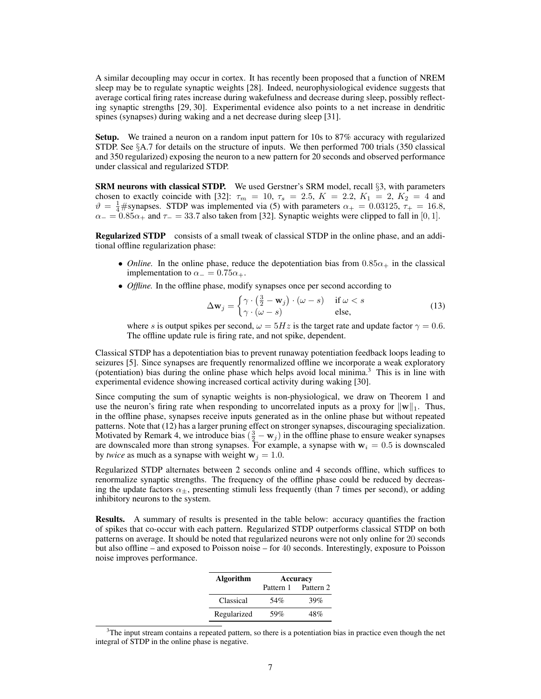A similar decoupling may occur in cortex. It has recently been proposed that a function of NREM sleep may be to regulate synaptic weights [\[28\]](#page-8-22). Indeed, neurophysiological evidence suggests that average cortical firing rates increase during wakefulness and decrease during sleep, possibly reflecting synaptic strengths [\[29,](#page-8-23) [30\]](#page-8-24). Experimental evidence also points to a net increase in dendritic spines (synapses) during waking and a net decrease during sleep [\[31\]](#page-8-25).

Setup. We trained a neuron on a random input pattern for 10s to 87% accuracy with regularized STDP. See *§*[A.7](#page-0-3) for details on the structure of inputs. We then performed 700 trials (350 classical and 350 regularized) exposing the neuron to a new pattern for 20 seconds and observed performance under classical and regularized STDP.

SRM neurons with classical STDP. We used Gerstner's SRM model, recall *§*[3,](#page-3-0) with parameters chosen to exactly coincide with [\[32\]](#page-8-26):  $\tau_m = 10, \tau_s = 2.5, K = 2.2, K_1 = 2, K_2 = 4$  and  $\vartheta = \frac{1}{4}$ #synapses. STDP was implemented via [\(5\)](#page-3-3) with parameters  $\alpha_+ = 0.03125$ ,  $\tau_+ = 16.8$ ,  $\alpha_{-} = 0.85\alpha_{+}$  and  $\tau_{-} = 33.7$  also taken from [\[32\]](#page-8-26). Synaptic weights were clipped to fall in [0, 1].

Regularized STDP consists of a small tweak of classical STDP in the online phase, and an additional offline regularization phase:

- *Online.* In the online phase, reduce the depotentiation bias from  $0.85\alpha_+$  in the classical implementation to  $\alpha_{-} = 0.75\alpha_{+}$ .
- *Offline*. In the offline phase, modify synapses once per second according to

$$
\Delta \mathbf{w}_j = \begin{cases} \gamma \cdot \left(\frac{3}{2} - \mathbf{w}_j\right) \cdot \left(\omega - s\right) & \text{if } \omega < s \\ \gamma \cdot \left(\omega - s\right) & \text{else,} \end{cases} \tag{13}
$$

where *s* is output spikes per second,  $\omega = 5Hz$  is the target rate and update factor  $\gamma = 0.6$ . The offline update rule is firing rate, and not spike, dependent.

Classical STDP has a depotentiation bias to prevent runaway potentiation feedback loops leading to seizures [\[5\]](#page-8-0). Since synapses are frequently renormalized offline we incorporate a weak exploratory (potentiation) bias during the online phase which helps avoid local minima.<sup>[3](#page-6-0)</sup> This is in line with experimental evidence showing increased cortical activity during waking [\[30\]](#page-8-24).

Since computing the sum of synaptic weights is non-physiological, we draw on Theorem [1](#page-2-2) and use the neuron's firing rate when responding to uncorrelated inputs as a proxy for  $\|\mathbf{w}\|_1$ . Thus, in the offline phase, synapses receive inputs generated as in the online phase but without repeated patterns. Note that [\(12\)](#page-5-3) has a larger pruning effect on stronger synapses, discouraging specialization. Motivated by Remark [4,](#page-5-4) we introduce bias  $(\frac{3}{2} - w_j)$  in the offline phase to ensure weaker synapses are downscaled more than strong synapses. For example, a synapse with  $w_i = 0.5$  is downscaled by *twice* as much as a synapse with weight  $w_j = 1.0$ .

Regularized STDP alternates between 2 seconds online and 4 seconds offline, which suffices to renormalize synaptic strengths. The frequency of the offline phase could be reduced by decreasing the update factors  $\alpha_+$ , presenting stimuli less frequently (than 7 times per second), or adding inhibitory neurons to the system.

Results. A summary of results is presented in the table below: accuracy quantifies the fraction of spikes that co-occur with each pattern. Regularized STDP outperforms classical STDP on both patterns on average. It should be noted that regularized neurons were not only online for 20 seconds but also offline – and exposed to Poisson noise – for 40 seconds. Interestingly, exposure to Poisson noise improves performance.

| <b>Algorithm</b> | Accuracy |                     |
|------------------|----------|---------------------|
|                  |          | Pattern 1 Pattern 2 |
| Classical        | 54%      | 39%                 |
| Regularized      | 59%      | 48%                 |

<span id="page-6-0"></span><sup>&</sup>lt;sup>3</sup>The input stream contains a repeated pattern, so there is a potentiation bias in practice even though the net integral of STDP in the online phase is negative.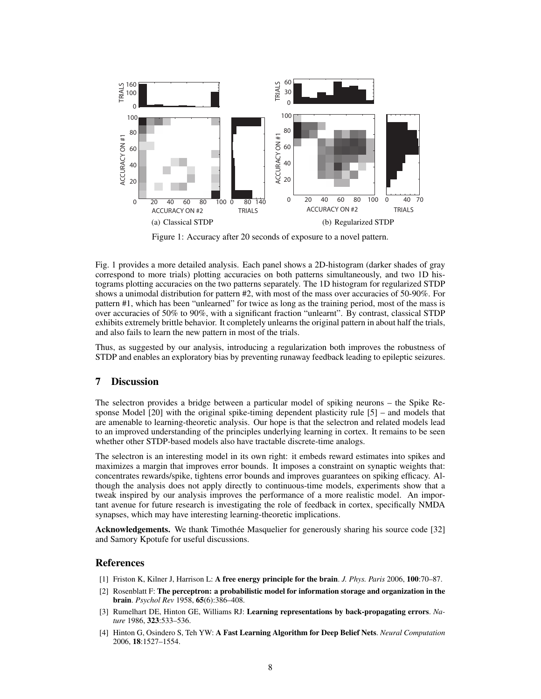<span id="page-7-5"></span>

Figure 1: Accuracy after 20 seconds of exposure to a novel pattern.

Fig. [1](#page-7-5) provides a more detailed analysis. Each panel shows a 2D-histogram (darker shades of gray correspond to more trials) plotting accuracies on both patterns simultaneously, and two 1D histograms plotting accuracies on the two patterns separately. The 1D histogram for regularized STDP shows a unimodal distribution for pattern #2, with most of the mass over accuracies of 50-90%. For pattern #1, which has been "unlearned" for twice as long as the training period, most of the mass is over accuracies of 50% to 90%, with a significant fraction "unlearnt". By contrast, classical STDP exhibits extremely brittle behavior. It completely unlearns the original pattern in about half the trials, and also fails to learn the new pattern in most of the trials.

Thus, as suggested by our analysis, introducing a regularization both improves the robustness of STDP and enables an exploratory bias by preventing runaway feedback leading to epileptic seizures.

# <span id="page-7-4"></span>7 Discussion

The selectron provides a bridge between a particular model of spiking neurons – the Spike Response Model [\[20\]](#page-8-14) with the original spike-timing dependent plasticity rule [\[5\]](#page-8-0) – and models that are amenable to learning-theoretic analysis. Our hope is that the selectron and related models lead to an improved understanding of the principles underlying learning in cortex. It remains to be seen whether other STDP-based models also have tractable discrete-time analogs.

The selectron is an interesting model in its own right: it embeds reward estimates into spikes and maximizes a margin that improves error bounds. It imposes a constraint on synaptic weights that: concentrates rewards/spike, tightens error bounds and improves guarantees on spiking efficacy. Although the analysis does not apply directly to continuous-time models, experiments show that a tweak inspired by our analysis improves the performance of a more realistic model. An important avenue for future research is investigating the role of feedback in cortex, specifically NMDA synapses, which may have interesting learning-theoretic implications.

Acknowledgements. We thank Timothée Masquelier for generously sharing his source code [\[32\]](#page-8-26) and Samory Kpotufe for useful discussions.

## References

- <span id="page-7-0"></span>[1] Friston K, Kilner J, Harrison L: A free energy principle for the brain. *J. Phys. Paris* 2006, 100:70–87.
- <span id="page-7-1"></span>[2] Rosenblatt F: The perceptron: a probabilistic model for information storage and organization in the brain. *Psychol Rev* 1958, 65(6):386–408.
- <span id="page-7-2"></span>[3] Rumelhart DE, Hinton GE, Williams RJ: Learning representations by back-propagating errors. *Nature* 1986, 323:533–536.
- <span id="page-7-3"></span>[4] Hinton G, Osindero S, Teh YW: A Fast Learning Algorithm for Deep Belief Nets. *Neural Computation* 2006, 18:1527–1554.